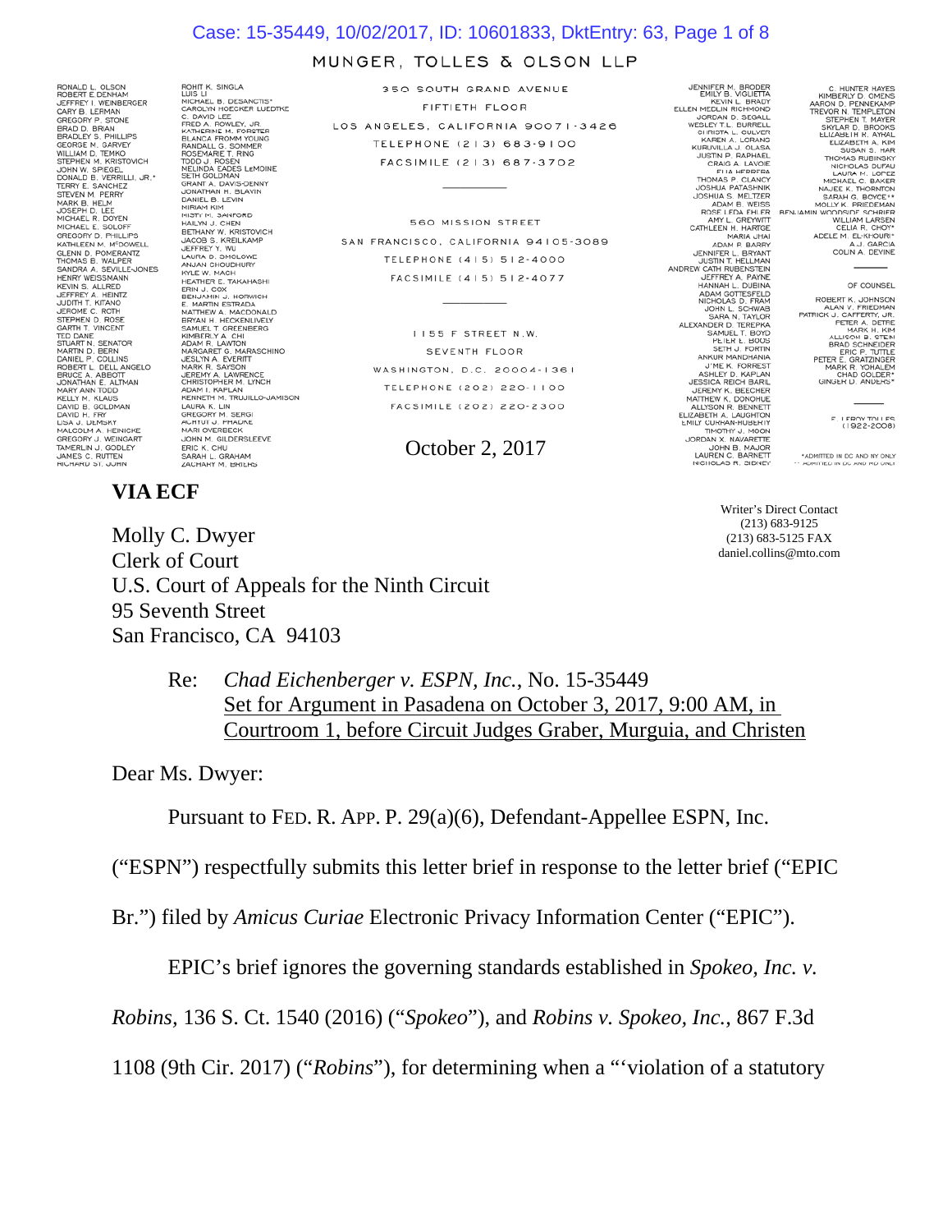## Case: 15-35449, 10/02/2017, ID: 10601833, DktEntry: 63, Page 1 of 8

## MUNGER, TOLLES & OLSON LLP

RONALD L. OLSON<br>ROBERT E. DENHAM<br>JEFFREY I. WEINBERGER<br>CARY B. LERMAN<br>GREGORY P. STONE CARY B. LERMAN<br>GREGORY P. STONE<br>BRADLEY S. PHILLIPS<br>BRADLEY S. PHILLIPS<br>WILLIAM D. TEMKO<br>WILLIAM D. TEMKO<br>STEPHEN M. KRISTOVICH<br>JONN W. SPIEGEL<br>JONN W. SPIEGEL<br>TERRY E. SANCHEZ<br>TERRY E. SANCHEZ<br>STEVEN M. PERRY<br>STEVEN M. PE **STONE** SIEVEN M. PERRY<br>MARK B. HELM<br>MCHAEL R. DOYEN<br>MICHAEL E. SOLOFF<br>GREGORY D. PHILLIPS<br>KATHLEEN M. M<sup>C</sup>DOWELL GLENN D. POMERANTZ<br>THOMAS B. WALPER SANDRA A. SEVILLE-JONES HENRY WEISSMANN KEVIN S. ALLRED<br>JEFFREY A. HEINTZ<br>JUDITH T. KITANO JEROME C. ROTH JEROME C. ROTH<br>STEPHEN D. ROSE<br>GARTH T. VINCENT<br>TED DANE<br>STUART N. SENATOR EU DANT BENATOR<br>STUART N. SENATOR<br>SARTIL P. COLLANS<br>BRUCE A. ABBOTT<br>SARTEL P. COLLANS<br>BRUCE A. ABBOTT<br>MART ANN TODD<br>MART ANN TODD<br>DAVID H. REAL<br>DAVID B. GOLDMAN<br>USA J. DEMSKY<br>MARCOLM A. HEINICKE<br>SARTENN J. GODDER<br>SARTENN J

**VIA ECF** 

ROHIT K. SINGLA<br>MICHAEL B. DESANCTIS<br>C. DAVID LEE<br>C. DAVID LEE<br>C. DAVID LEE<br>KATHERINE M. FORSTER<br>KATHERINE M. FORSTER<br>BANDALL G. SOMMY WOUNG<br>RADALL G. SOMMER<br>TREDUS MADEL<br>TREDUS ANDES LEMOINE<br>NELINOS ANDES<br>NELINOS ANDES<br>NE SETH GOLDMAN<br>GRANT A. DAVIS-DENNY<br>JONATHAN H. BLAVIN DANIEL B. LEVIN MIRIAM KIM MIRIAM NIM<br>MISTY M. SANFORD<br>HAILYN J. CHEN<br>BETHANY W. KRISTOVICH BETHANY W. KRISTOVI<br>JACOB S. KREILKAMP<br>JEFFREY Y. WU<br>LAURA D. SMOLOWE<br>ANJAN CHOUDHURY<br>KYLE W. MACH KULTUR, MOOD MAARSHI<br>KIRIKA KARA HAMAHASHI<br>ERIN JAQOOX HORWICH<br>EMAARIN ETRADA<br>EMAARIN ETRADA<br>EMAARIN A MACDONALD<br>BRYAN H, MACDERIN<br>ADAM R, LAWTON<br>JESLYY A EVERIT<br>JESLYY A EVERIT<br>JESLYY A EVERIT<br>CHRISTOPHER M. LYNCH<br>CEREMY KENNETH M, TRUJILLO-JA<br>LAURA K. LIN<br>GREGORY M, SERGI<br>ARRIO VICENCIA<br>MARIO VERBECK<br>JOHN M, GILDERSLEEVE<br>ERIC K. CHU<br>SARAH L. GRAHAM<br>ZACHARY M, BRIERS

350 SOUTH GRAND AVENUE FIFTIETH FLOOR LOS ANGELES, CALIFORNIA 90071-3426 **TELEPHONE (213) 683-9100** FACSIMILE (213) 687-3702

560 MISSION STREET SAN FRANCISCO, CALIFORNIA 94105-3089 TELEPHONE (415) 512-4000 FACSIMILE (415) 512-4077

> II55 F STREET N.W. SEVENTH FLOOR WASHINGTON, D.C. 20004-1361 TELEPHONE (202) 220-1100 FACSIMILE (202) 220-2300

## October 2, 2017

JENNIFER M. BRODER<br>EMILY B. VIGLIETTA<br>KEVIN L. BRADY<br>ELLEN MEDLIN RICHMOND ELLEN MEDLIN RICHMOND<br>JORDAN D. SEGALL<br>WESLEY T.L. BURRELL<br>CHRISTA L. CULVER<br>KAREN A. LORANG<br>KURUVILLA J. OLASA<br>JUSTIN P. RAPHAEL<br>CRAIG A. LAVOIE KURUVILLA JOURNAL CONSULATION CHANNEL CHANGE CHANNEL CHANNEL CHANNEL CHANNEL CHANNEL CHANNEL CHANNEL CHANNEL CHANNEL AND A CHANNEL CHANNEL CHANNEL CHANNEL CHANNEL CHANNEL CHANNEL CHANNEL CHANNEL CHANNEL CHANNEL CHANNEL CHA JENNIFER L. BRYANT<br>JUSTIN T. HELLMAN<br>ANDREW CATH RUBENSTEIN JEFFREY A. PAYNE UNIFY A PATRICAL AND MANUSCRIPT CHANNA L. DUBINA<br>
ADAM OUNING THE TREPAS<br>
CONNIC SCHOOL STATES CONSUMER SARA N. TAYLOR<br>
SARA N. TAYLOR<br>
SARA N. TAYLOR<br>
SARA N. TAYLOR<br>
SARA N. TAYLOR<br>
SARA N. TAYLOR<br>
SARILLY D. KAPILAN<br>
J. HANNAH L. DUBINA

C. HUNTER HAYES<br>KIMBERLY D. OMENS<br>AARON D. PEMPLETON<br>TREVOR N. TEMPLETON<br>STEPHEN T. MAYER<br>ELIZABETH R. AYRAL ELIZABETH A. KIM SUSAN S. HAR A.J. GARCIA<br>COLIN A. DEVINE

#### OF COUNSEL

ROBERT K. JOHNSON<br>ALAN V. FRIEDMAN ALA<br>.U. PATRICK **CAFFERTY** TRICK J. CAFFERY, JR.<br>PETER A. DETER<br>ALLISON B. STEIN<br>ALLISON B. STEIN<br>BRAD SCHNEIDER<br>PETER E. GRATZINGER<br>MAR R. YOHALEM<br>CHAD GOLDER\*<br>GINGER D. ANDERS\*

E. LEROY TOLLES

\*ADMITTED IN DC AND NY ONLY

Writer's Direct Contact (213) 683-9125 (213) 683-5125 FAX daniel.collins@mto.com

Molly C. Dwyer Clerk of Court U.S. Court of Appeals for the Ninth Circuit 95 Seventh Street San Francisco, CA 94103

> Re: *Chad Eichenberger v. ESPN, Inc.*, No. 15-35449 Set for Argument in Pasadena on October 3, 2017, 9:00 AM, in Courtroom 1, before Circuit Judges Graber, Murguia, and Christen

Dear Ms. Dwyer:

Pursuant to FED. R. APP. P. 29(a)(6), Defendant-Appellee ESPN, Inc.

("ESPN") respectfully submits this letter brief in response to the letter brief ("EPIC

Br.") filed by *Amicus Curiae* Electronic Privacy Information Center ("EPIC").

EPIC's brief ignores the governing standards established in *Spokeo, Inc. v.* 

*Robins,* 136 S. Ct. 1540 (2016) ("*Spokeo*"), and *Robins v. Spokeo, Inc.*, 867 F.3d

1108 (9th Cir. 2017) ("*Robins*"), for determining when a "'violation of a statutory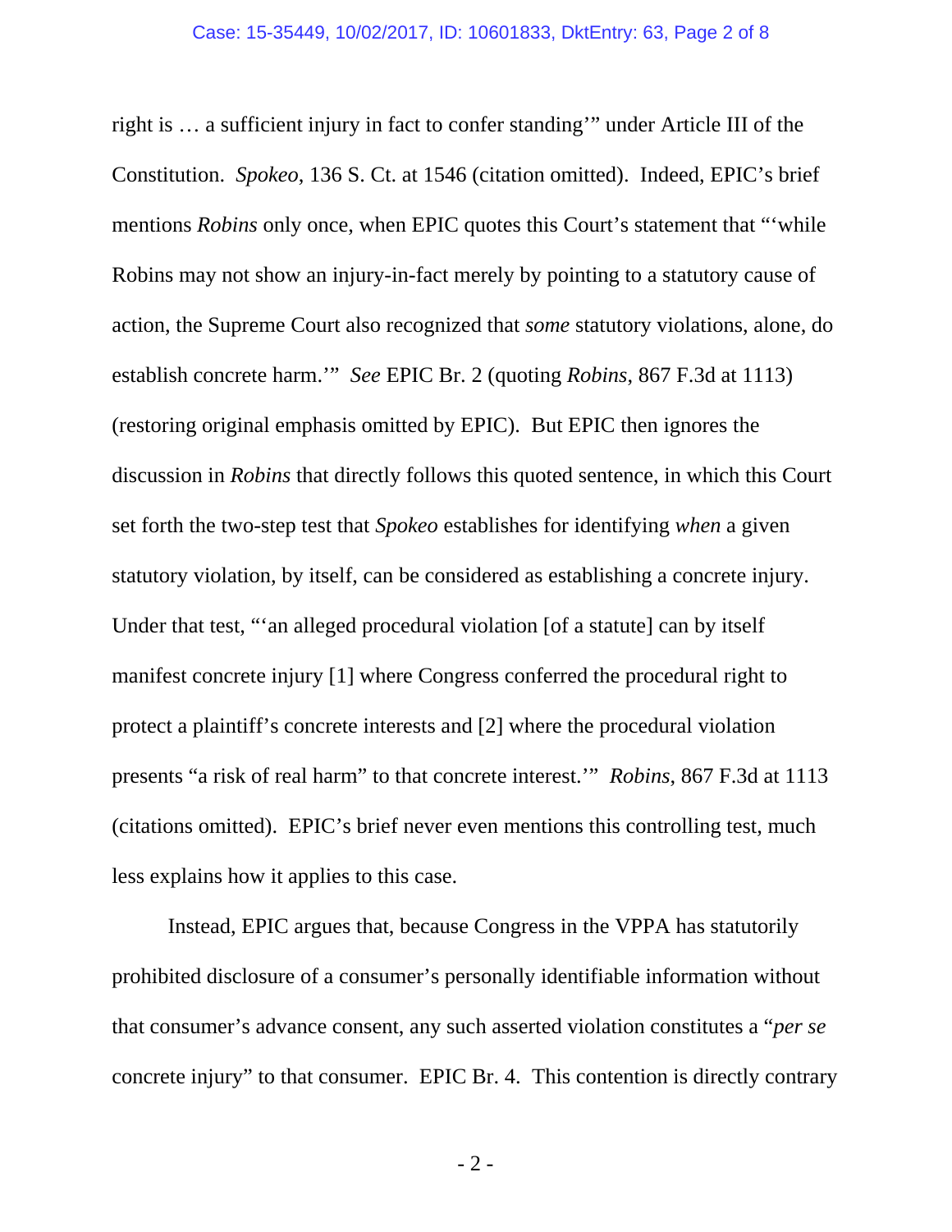right is … a sufficient injury in fact to confer standing'" under Article III of the Constitution. *Spokeo*, 136 S. Ct. at 1546 (citation omitted). Indeed, EPIC's brief mentions *Robins* only once, when EPIC quotes this Court's statement that "'while Robins may not show an injury-in-fact merely by pointing to a statutory cause of action, the Supreme Court also recognized that *some* statutory violations, alone, do establish concrete harm.'" *See* EPIC Br. 2 (quoting *Robins*, 867 F.3d at 1113) (restoring original emphasis omitted by EPIC). But EPIC then ignores the discussion in *Robins* that directly follows this quoted sentence, in which this Court set forth the two-step test that *Spokeo* establishes for identifying *when* a given statutory violation, by itself, can be considered as establishing a concrete injury. Under that test, "'an alleged procedural violation [of a statute] can by itself manifest concrete injury [1] where Congress conferred the procedural right to protect a plaintiff's concrete interests and [2] where the procedural violation presents "a risk of real harm" to that concrete interest.'" *Robins*, 867 F.3d at 1113 (citations omitted). EPIC's brief never even mentions this controlling test, much less explains how it applies to this case.

Instead, EPIC argues that, because Congress in the VPPA has statutorily prohibited disclosure of a consumer's personally identifiable information without that consumer's advance consent, any such asserted violation constitutes a "*per se* concrete injury" to that consumer. EPIC Br. 4. This contention is directly contrary

- 2 -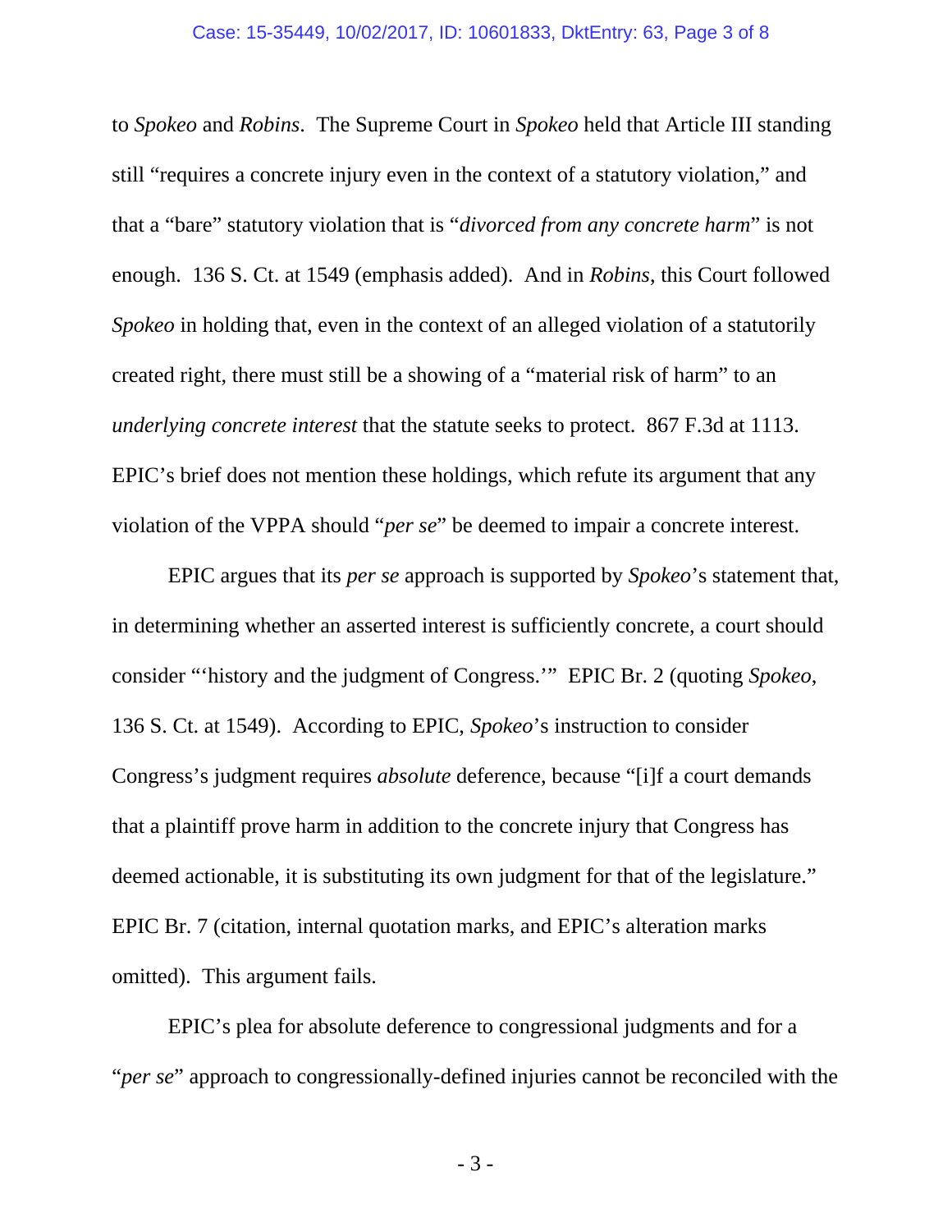### Case: 15-35449, 10/02/2017, ID: 10601833, DktEntry: 63, Page 3 of 8

to *Spokeo* and *Robins*. The Supreme Court in *Spokeo* held that Article III standing still "requires a concrete injury even in the context of a statutory violation," and that a "bare" statutory violation that is "*divorced from any concrete harm*" is not enough. 136 S. Ct. at 1549 (emphasis added). And in *Robins*, this Court followed *Spokeo* in holding that, even in the context of an alleged violation of a statutorily created right, there must still be a showing of a "material risk of harm" to an *underlying concrete interest* that the statute seeks to protect. 867 F.3d at 1113. EPIC's brief does not mention these holdings, which refute its argument that any violation of the VPPA should "*per se*" be deemed to impair a concrete interest.

EPIC argues that its *per se* approach is supported by *Spokeo*'s statement that, in determining whether an asserted interest is sufficiently concrete, a court should consider "'history and the judgment of Congress.'" EPIC Br. 2 (quoting *Spokeo*, 136 S. Ct. at 1549). According to EPIC, *Spokeo*'s instruction to consider Congress's judgment requires *absolute* deference, because "[i]f a court demands that a plaintiff prove harm in addition to the concrete injury that Congress has deemed actionable, it is substituting its own judgment for that of the legislature." EPIC Br. 7 (citation, internal quotation marks, and EPIC's alteration marks omitted). This argument fails.

EPIC's plea for absolute deference to congressional judgments and for a "*per se*" approach to congressionally-defined injuries cannot be reconciled with the

- 3 -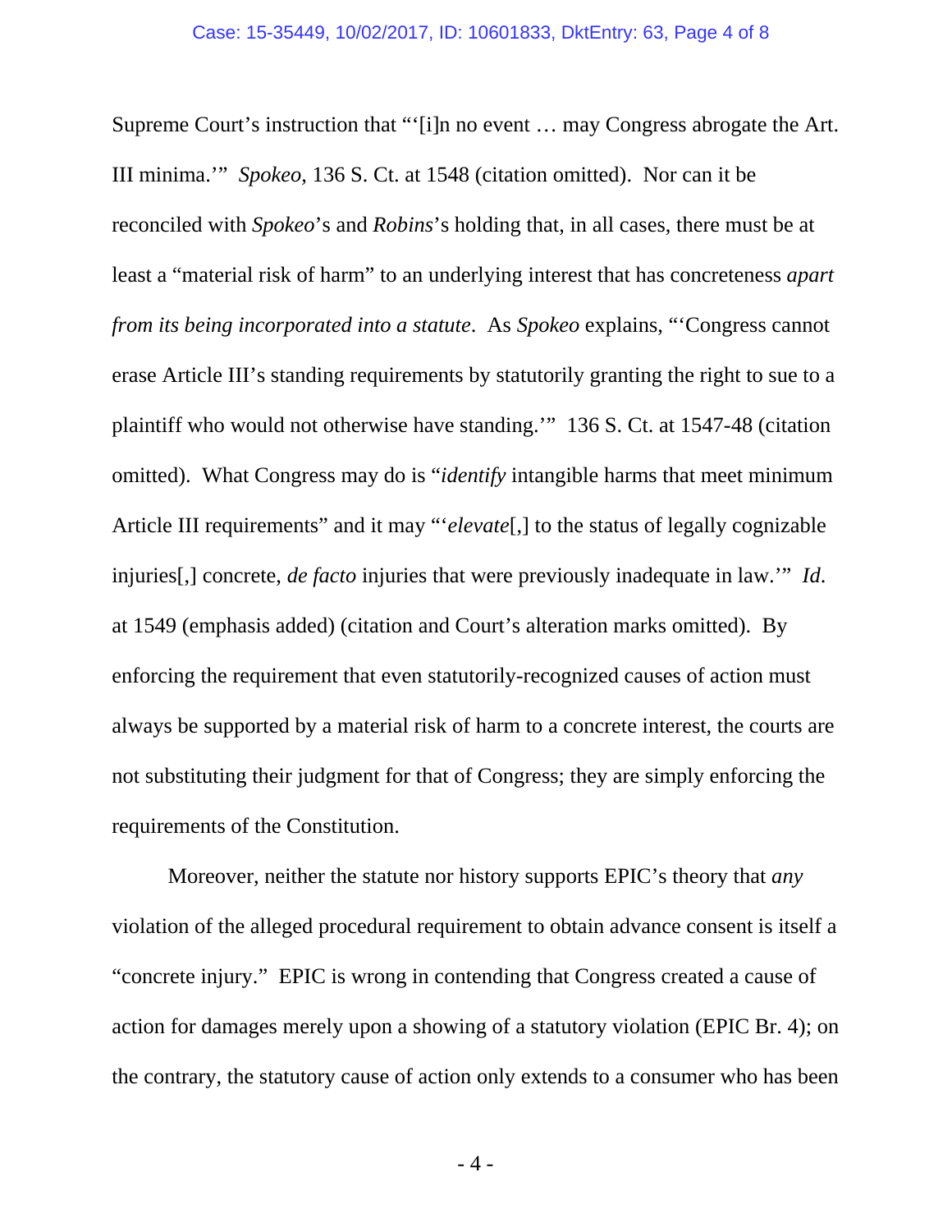Supreme Court's instruction that "'[i]n no event … may Congress abrogate the Art. III minima.'" *Spokeo*, 136 S. Ct. at 1548 (citation omitted). Nor can it be reconciled with *Spokeo*'s and *Robins*'s holding that, in all cases, there must be at least a "material risk of harm" to an underlying interest that has concreteness *apart from its being incorporated into a statute*. As *Spokeo* explains, "'Congress cannot erase Article III's standing requirements by statutorily granting the right to sue to a plaintiff who would not otherwise have standing.'" 136 S. Ct. at 1547-48 (citation omitted). What Congress may do is "*identify* intangible harms that meet minimum Article III requirements" and it may "'*elevate*[,] to the status of legally cognizable injuries[,] concrete, *de facto* injuries that were previously inadequate in law.'" *Id*. at 1549 (emphasis added) (citation and Court's alteration marks omitted). By enforcing the requirement that even statutorily-recognized causes of action must always be supported by a material risk of harm to a concrete interest, the courts are not substituting their judgment for that of Congress; they are simply enforcing the requirements of the Constitution.

Moreover, neither the statute nor history supports EPIC's theory that *any* violation of the alleged procedural requirement to obtain advance consent is itself a "concrete injury." EPIC is wrong in contending that Congress created a cause of action for damages merely upon a showing of a statutory violation (EPIC Br. 4); on the contrary, the statutory cause of action only extends to a consumer who has been

- 4 -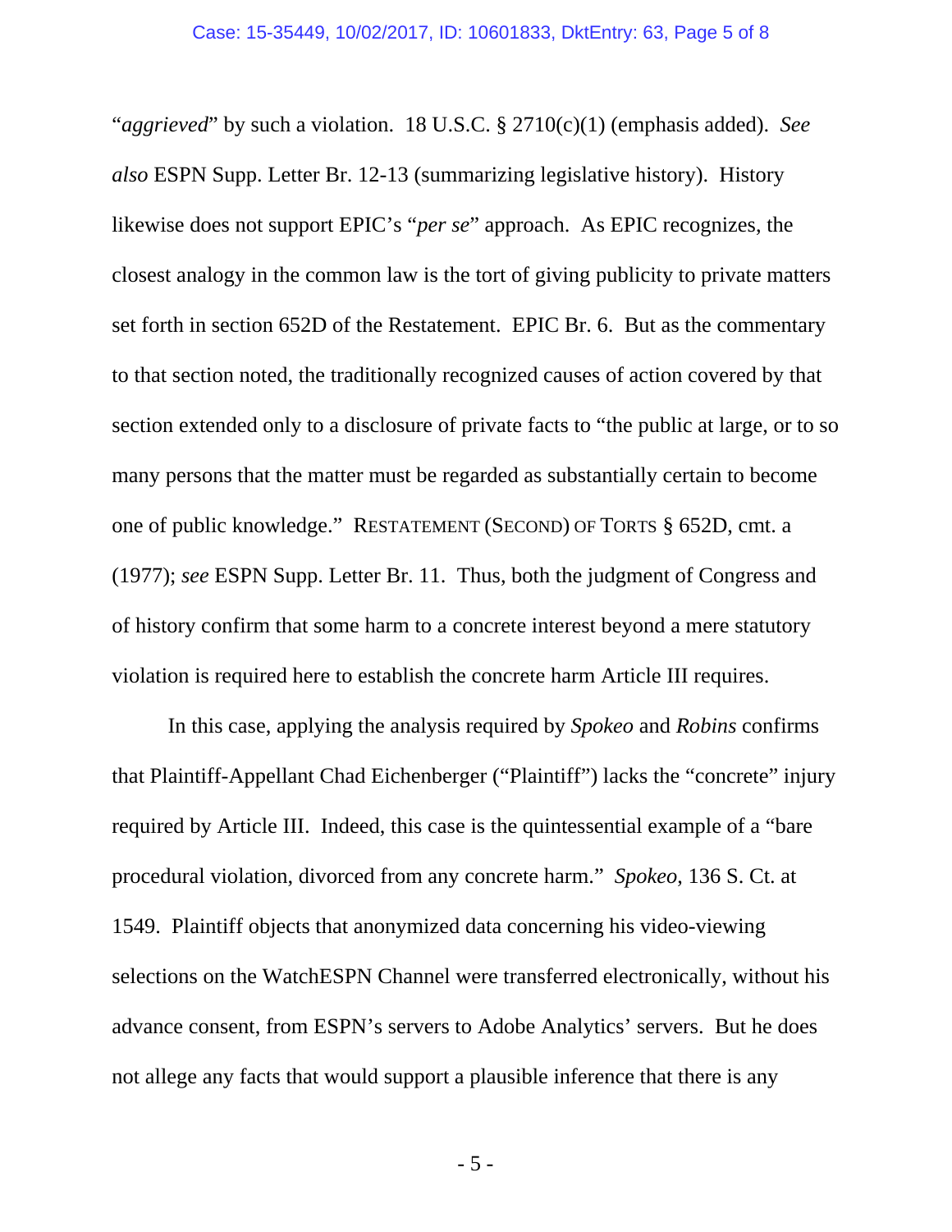"*aggrieved*" by such a violation. 18 U.S.C. § 2710(c)(1) (emphasis added). *See also* ESPN Supp. Letter Br. 12-13 (summarizing legislative history). History likewise does not support EPIC's "*per se*" approach. As EPIC recognizes, the closest analogy in the common law is the tort of giving publicity to private matters set forth in section 652D of the Restatement. EPIC Br. 6. But as the commentary to that section noted, the traditionally recognized causes of action covered by that section extended only to a disclosure of private facts to "the public at large, or to so many persons that the matter must be regarded as substantially certain to become one of public knowledge." RESTATEMENT (SECOND) OF TORTS § 652D, cmt. a (1977); *see* ESPN Supp. Letter Br. 11. Thus, both the judgment of Congress and of history confirm that some harm to a concrete interest beyond a mere statutory violation is required here to establish the concrete harm Article III requires.

In this case, applying the analysis required by *Spokeo* and *Robins* confirms that Plaintiff-Appellant Chad Eichenberger ("Plaintiff") lacks the "concrete" injury required by Article III. Indeed, this case is the quintessential example of a "bare procedural violation, divorced from any concrete harm." *Spokeo*, 136 S. Ct. at 1549. Plaintiff objects that anonymized data concerning his video-viewing selections on the WatchESPN Channel were transferred electronically, without his advance consent, from ESPN's servers to Adobe Analytics' servers. But he does not allege any facts that would support a plausible inference that there is any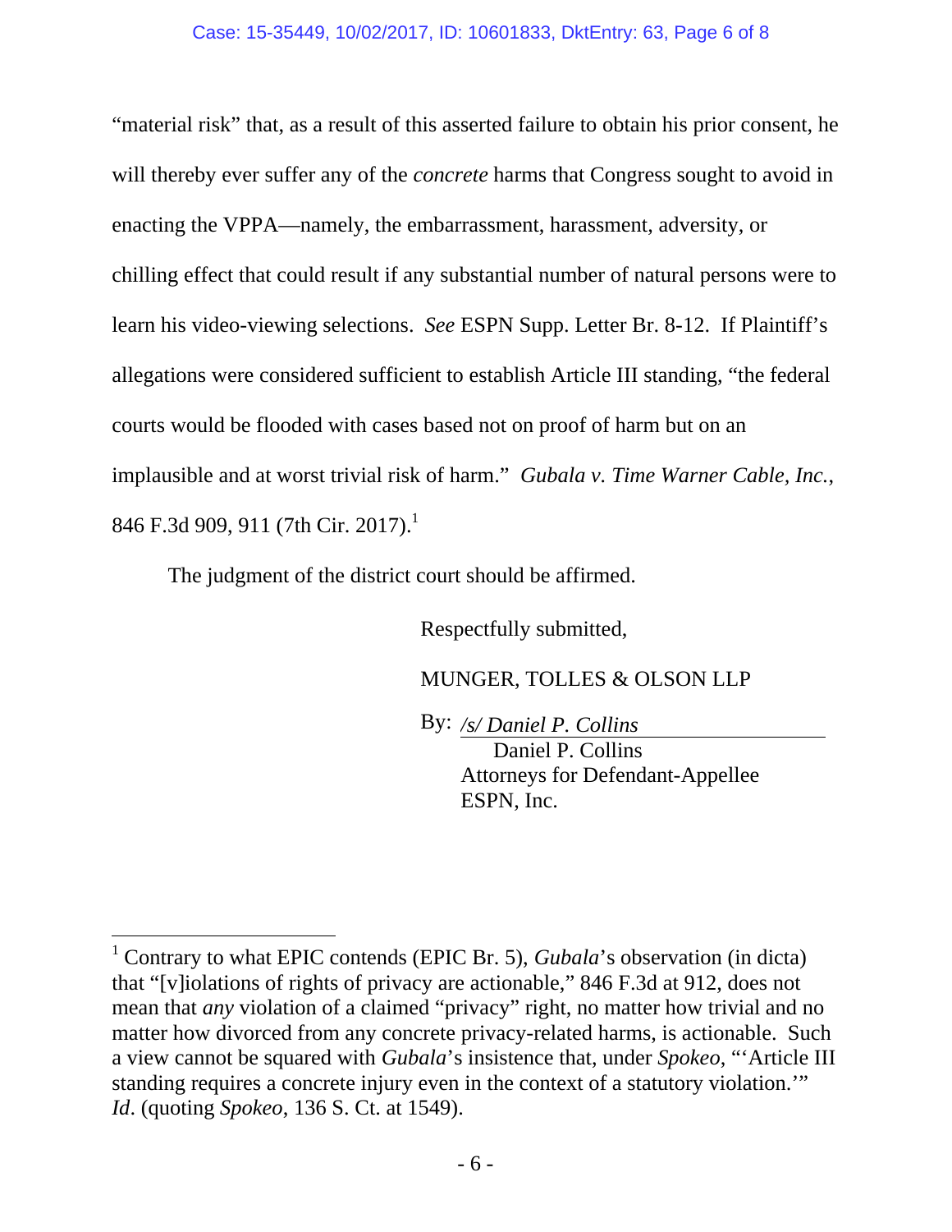"material risk" that, as a result of this asserted failure to obtain his prior consent, he will thereby ever suffer any of the *concrete* harms that Congress sought to avoid in enacting the VPPA—namely, the embarrassment, harassment, adversity, or chilling effect that could result if any substantial number of natural persons were to learn his video-viewing selections. *See* ESPN Supp. Letter Br. 8-12. If Plaintiff's allegations were considered sufficient to establish Article III standing, "the federal courts would be flooded with cases based not on proof of harm but on an implausible and at worst trivial risk of harm." *Gubala v. Time Warner Cable, Inc.*, 846 F.3d 909, 911 (7th Cir. 2017).<sup>1</sup>

The judgment of the district court should be affirmed.

 $\overline{a}$ 

Respectfully submitted,

MUNGER, TOLLES & OLSON LLP

By: */s/ Daniel P. Collins* 

 Daniel P. Collins Attorneys for Defendant-Appellee ESPN, Inc.

<sup>1</sup> Contrary to what EPIC contends (EPIC Br. 5), *Gubala*'s observation (in dicta) that "[v]iolations of rights of privacy are actionable," 846 F.3d at 912, does not mean that *any* violation of a claimed "privacy" right, no matter how trivial and no matter how divorced from any concrete privacy-related harms, is actionable. Such a view cannot be squared with *Gubala*'s insistence that, under *Spokeo*, "'Article III standing requires a concrete injury even in the context of a statutory violation.'" *Id*. (quoting *Spokeo*, 136 S. Ct. at 1549).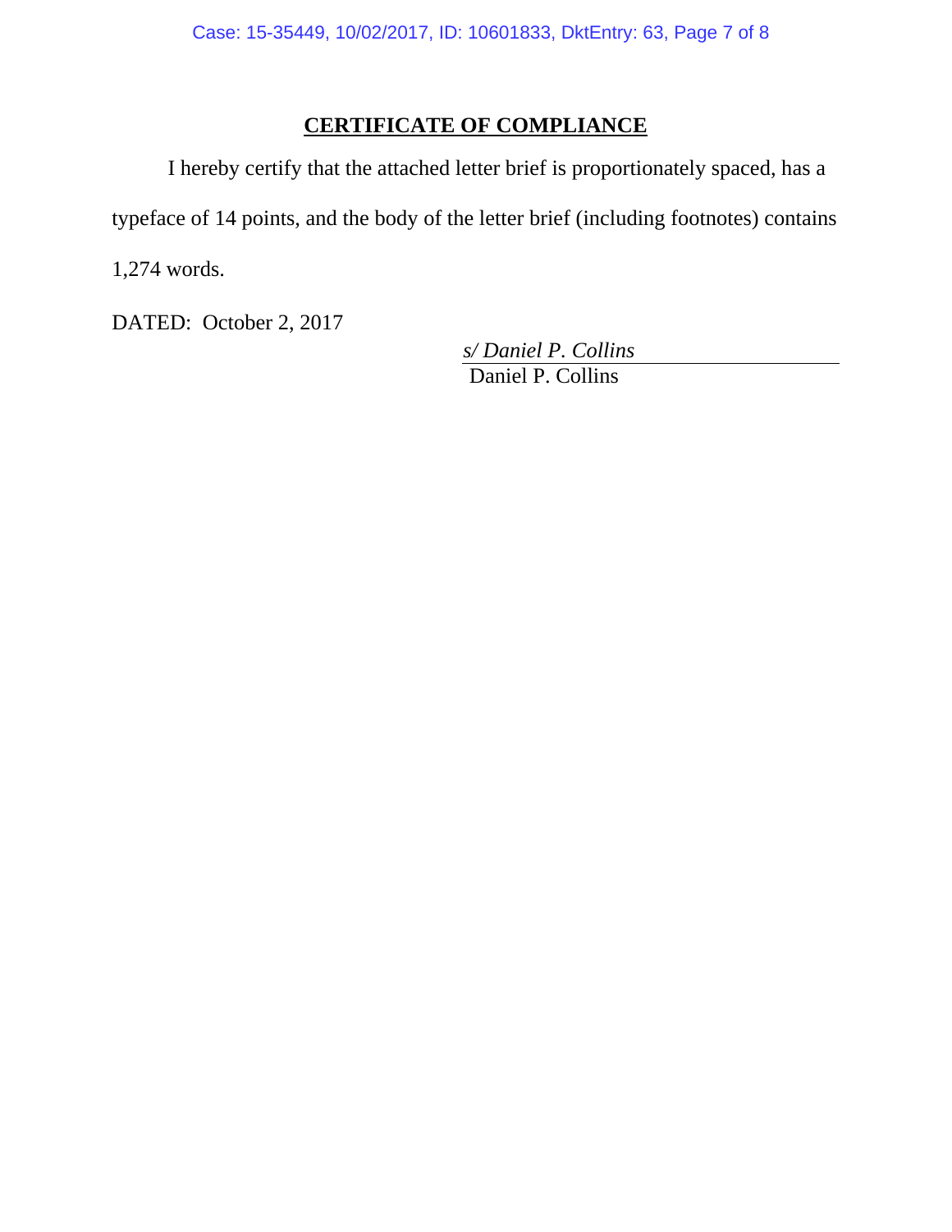# **CERTIFICATE OF COMPLIANCE**

I hereby certify that the attached letter brief is proportionately spaced, has a typeface of 14 points, and the body of the letter brief (including footnotes) contains 1,274 words.

DATED: October 2, 2017

*s/ Daniel P. Collins* 

Daniel P. Collins